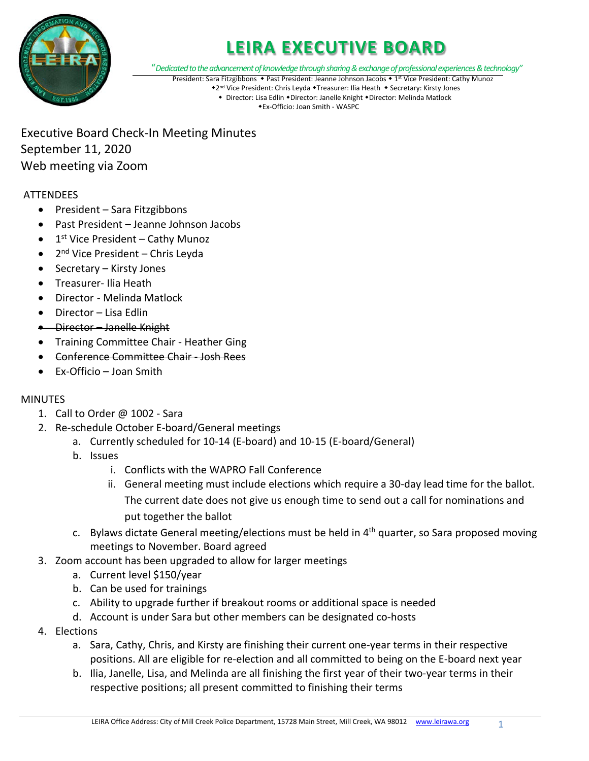

## **LEIRA EXECUTIVE BOARD**

"*Dedicated to the advancement of knowledge through sharing & exchange of professional experiences & technology"*

President: Sara Fitzgibbons • Past President: Jeanne Johnson Jacobs • 1<sup>st</sup> Vice President: Cathy Munoz

\*2<sup>nd</sup> Vice President: Chris Leyda \*Treasurer: Ilia Heath \* Secretary: Kirsty Jones • Director: Lisa Edlin • Director: Janelle Knight • Director: Melinda Matlock Ex-Officio: Joan Smith - WASPC

Executive Board Check-In Meeting Minutes September 11, 2020 Web meeting via Zoom

### **ATTENDEES**

- President Sara Fitzgibbons
- Past President Jeanne Johnson Jacobs
- $\bullet$  1<sup>st</sup> Vice President Cathy Munoz
- $2<sup>nd</sup>$  Vice President Chris Leyda
- Secretary Kirsty Jones
- Treasurer- Ilia Heath
- Director Melinda Matlock
- Director Lisa Edlin
- Director Janelle Knight
- Training Committee Chair Heather Ging
- Conference Committee Chair Josh Rees
- Ex-Officio Joan Smith

#### **MINUTES**

- 1. Call to Order  $\varpi$  1002 Sara
- 2. Re-schedule October E-board/General meetings
	- a. Currently scheduled for 10-14 (E-board) and 10-15 (E-board/General)
	- b. Issues
		- i. Conflicts with the WAPRO Fall Conference
		- ii. General meeting must include elections which require a 30-day lead time for the ballot. The current date does not give us enough time to send out a call for nominations and put together the ballot
	- c. Bylaws dictate General meeting/elections must be held in 4<sup>th</sup> quarter, so Sara proposed moving meetings to November. Board agreed
- 3. Zoom account has been upgraded to allow for larger meetings
	- a. Current level \$150/year
	- b. Can be used for trainings
	- c. Ability to upgrade further if breakout rooms or additional space is needed
	- d. Account is under Sara but other members can be designated co-hosts
- 4. Elections
	- a. Sara, Cathy, Chris, and Kirsty are finishing their current one-year terms in their respective positions. All are eligible for re-election and all committed to being on the E-board next year
	- b. Ilia, Janelle, Lisa, and Melinda are all finishing the first year of their two-year terms in their respective positions; all present committed to finishing their terms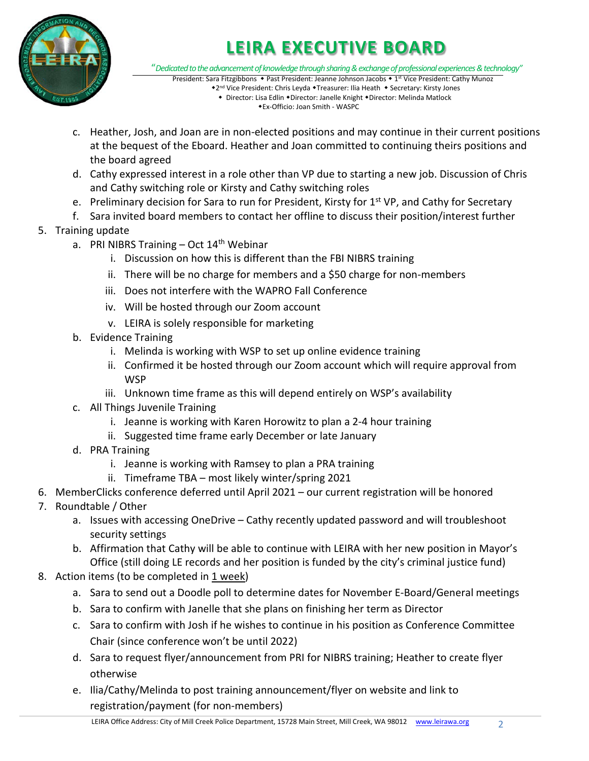

# **LEIRA EXECUTIVE BOARD**

"*Dedicated to the advancement of knowledge through sharing & exchange of professional experiences & technology"*

President: Sara Fitzgibbons • Past President: Jeanne Johnson Jacobs • 1<sup>st</sup> Vice President: Cathy Munoz \*2<sup>nd</sup> Vice President: Chris Leyda \*Treasurer: Ilia Heath \* Secretary: Kirsty Jones • Director: Lisa Edlin • Director: Janelle Knight • Director: Melinda Matlock

Ex-Officio: Joan Smith - WASPC

- c. Heather, Josh, and Joan are in non-elected positions and may continue in their current positions at the bequest of the Eboard. Heather and Joan committed to continuing theirs positions and the board agreed
- d. Cathy expressed interest in a role other than VP due to starting a new job. Discussion of Chris and Cathy switching role or Kirsty and Cathy switching roles
- e. Preliminary decision for Sara to run for President, Kirsty for 1<sup>st</sup> VP, and Cathy for Secretary
- f. Sara invited board members to contact her offline to discuss their position/interest further
- 5. Training update
	- a. PRI NIBRS Training  $-$  Oct 14<sup>th</sup> Webinar
		- i. Discussion on how this is different than the FBI NIBRS training
		- ii. There will be no charge for members and a \$50 charge for non-members
		- iii. Does not interfere with the WAPRO Fall Conference
		- iv. Will be hosted through our Zoom account
		- v. LEIRA is solely responsible for marketing
	- b. Evidence Training
		- i. Melinda is working with WSP to set up online evidence training
		- ii. Confirmed it be hosted through our Zoom account which will require approval from **WSP**
		- iii. Unknown time frame as this will depend entirely on WSP's availability
	- c. All Things Juvenile Training
		- i. Jeanne is working with Karen Horowitz to plan a 2-4 hour training
		- ii. Suggested time frame early December or late January
	- d. PRA Training
		- i. Jeanne is working with Ramsey to plan a PRA training
		- ii. Timeframe TBA most likely winter/spring 2021
- 6. MemberClicks conference deferred until April 2021 our current registration will be honored
- 7. Roundtable / Other
	- a. Issues with accessing OneDrive Cathy recently updated password and will troubleshoot security settings
	- b. Affirmation that Cathy will be able to continue with LEIRA with her new position in Mayor's Office (still doing LE records and her position is funded by the city's criminal justice fund)
- 8. Action items (to be completed in 1 week)
	- a. Sara to send out a Doodle poll to determine dates for November E-Board/General meetings
	- b. Sara to confirm with Janelle that she plans on finishing her term as Director
	- c. Sara to confirm with Josh if he wishes to continue in his position as Conference Committee Chair (since conference won't be until 2022)
	- d. Sara to request flyer/announcement from PRI for NIBRS training; Heather to create flyer otherwise
	- e. Ilia/Cathy/Melinda to post training announcement/flyer on website and link to registration/payment (for non-members)